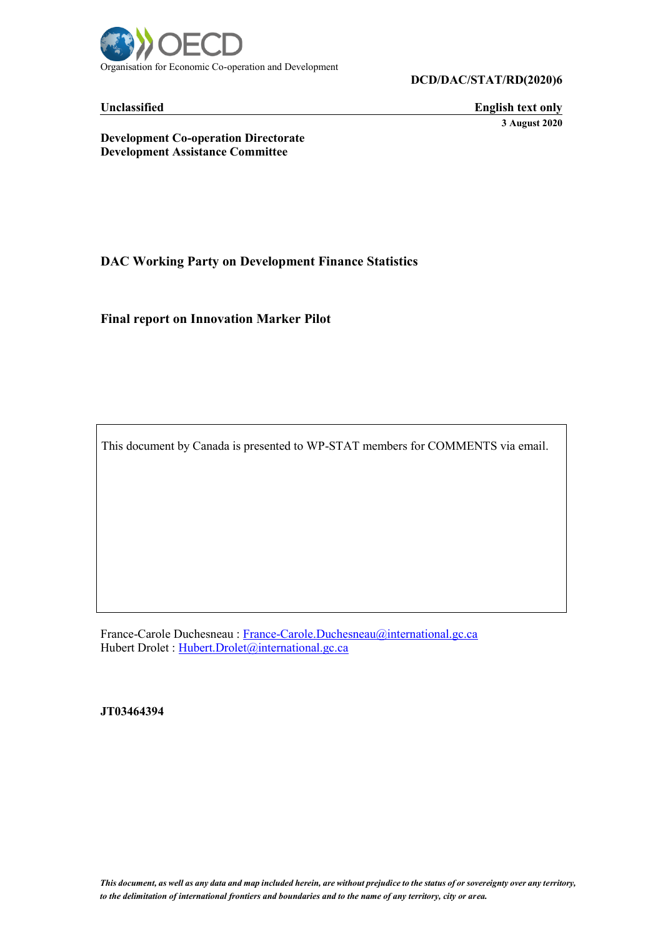

**DCD/DAC/STAT/RD(2020)6**

**Unclassified English text only 3 August 2020**

**Development Co-operation Directorate Development Assistance Committee**

**DAC Working Party on Development Finance Statistics**

**Final report on Innovation Marker Pilot**

This document by Canada is presented to WP-STAT members for COMMENTS via email.

France-Carole Duchesneau : [France-Carole.Duchesneau@international.gc.ca](mailto:France-Carole.Duchesneau@international.gc.ca) Hubert Drolet : [Hubert.Drolet@international.gc.ca](mailto:Hubert.Drolet@international.gc.ca)

**JT03464394**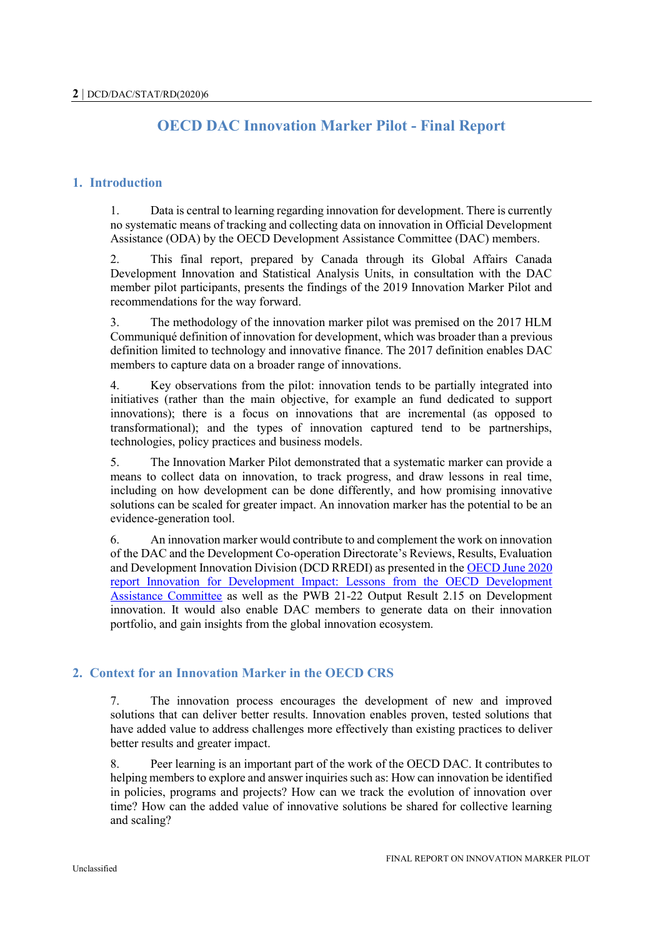# **OECD DAC Innovation Marker Pilot - Final Report**

## **1. Introduction**

1. Data is central to learning regarding innovation for development. There is currently no systematic means of tracking and collecting data on innovation in Official Development Assistance (ODA) by the OECD Development Assistance Committee (DAC) members.

2. This final report, prepared by Canada through its Global Affairs Canada Development Innovation and Statistical Analysis Units, in consultation with the DAC member pilot participants, presents the findings of the 2019 Innovation Marker Pilot and recommendations for the way forward.

3. The methodology of the innovation marker pilot was premised on the 2017 HLM Communiqué definition of innovation for development, which was broader than a previous definition limited to technology and innovative finance. The 2017 definition enables DAC members to capture data on a broader range of innovations.

4. Key observations from the pilot: innovation tends to be partially integrated into initiatives (rather than the main objective, for example an fund dedicated to support innovations); there is a focus on innovations that are incremental (as opposed to transformational); and the types of innovation captured tend to be partnerships, technologies, policy practices and business models.

5. The Innovation Marker Pilot demonstrated that a systematic marker can provide a means to collect data on innovation, to track progress, and draw lessons in real time, including on how development can be done differently, and how promising innovative solutions can be scaled for greater impact. An innovation marker has the potential to be an evidence-generation tool.

6. An innovation marker would contribute to and complement the work on innovation of the DAC and the Development Co-operation Directorate's Reviews, Results, Evaluation and Development Innovation Division (DCD RREDI) as presented in th[e OECD June 2020](https://doi.org/10.1787/19901372)  [report Innovation for Development Impact: Lessons from the OECD Development](https://doi.org/10.1787/19901372)  [Assistance Committee](https://doi.org/10.1787/19901372) as well as the PWB 21-22 Output Result 2.15 on Development innovation. It would also enable DAC members to generate data on their innovation portfolio, and gain insights from the global innovation ecosystem.

## **2. Context for an Innovation Marker in the OECD CRS**

7. The innovation process encourages the development of new and improved solutions that can deliver better results. Innovation enables proven, tested solutions that have added value to address challenges more effectively than existing practices to deliver better results and greater impact.

8. Peer learning is an important part of the work of the OECD DAC. It contributes to helping members to explore and answer inquiries such as: How can innovation be identified in policies, programs and projects? How can we track the evolution of innovation over time? How can the added value of innovative solutions be shared for collective learning and scaling?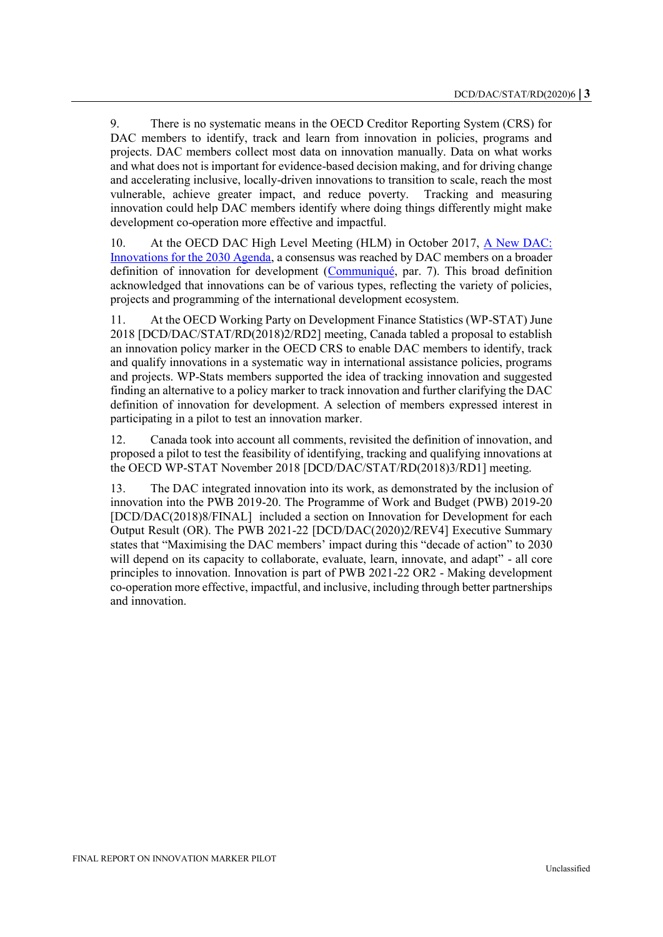9. There is no systematic means in the OECD Creditor Reporting System (CRS) for DAC members to identify, track and learn from innovation in policies, programs and projects. DAC members collect most data on innovation manually. Data on what works and what does not is important for evidence-based decision making, and for driving change and accelerating inclusive, locally-driven innovations to transition to scale, reach the most vulnerable, achieve greater impact, and reduce poverty. Tracking and measuring innovation could help DAC members identify where doing things differently might make development co-operation more effective and impactful.

10. At the OECD DAC High Level Meeting (HLM) in October 2017, [A New DAC:](http://www.oecd.org/dac/dachighlevelmeeting2017.htm)  [Innovations for the 2030 Agenda,](http://www.oecd.org/dac/dachighlevelmeeting2017.htm) a consensus was reached by DAC members on a broader definition of innovation for development [\(Communiqué,](http://www.oecd.org/dac/DAC-HLM-2017-Communique.pdf) par. 7). This broad definition acknowledged that innovations can be of various types, reflecting the variety of policies, projects and programming of the international development ecosystem.

11. At the OECD Working Party on Development Finance Statistics (WP-STAT) June 2018 [DCD/DAC/STAT/RD(2018)2/RD2] meeting, Canada tabled a proposal to establish an innovation policy marker in the OECD CRS to enable DAC members to identify, track and qualify innovations in a systematic way in international assistance policies, programs and projects. WP-Stats members supported the idea of tracking innovation and suggested finding an alternative to a policy marker to track innovation and further clarifying the DAC definition of innovation for development. A selection of members expressed interest in participating in a pilot to test an innovation marker.

12. Canada took into account all comments, revisited the definition of innovation, and proposed a pilot to test the feasibility of identifying, tracking and qualifying innovations at the OECD WP-STAT November 2018 [DCD/DAC/STAT/RD(2018)3/RD1] meeting.

13. The DAC integrated innovation into its work, as demonstrated by the inclusion of innovation into the PWB 2019-20. The Programme of Work and Budget (PWB) 2019-20 [DCD/DAC(2018)8/FINAL] included a section on Innovation for Development for each Output Result (OR). The PWB 2021-22 [DCD/DAC(2020)2/REV4] Executive Summary states that "Maximising the DAC members' impact during this "decade of action" to 2030 will depend on its capacity to collaborate, evaluate, learn, innovate, and adapt" - all core principles to innovation. Innovation is part of PWB 2021-22 OR2 - Making development co-operation more effective, impactful, and inclusive, including through better partnerships and innovation.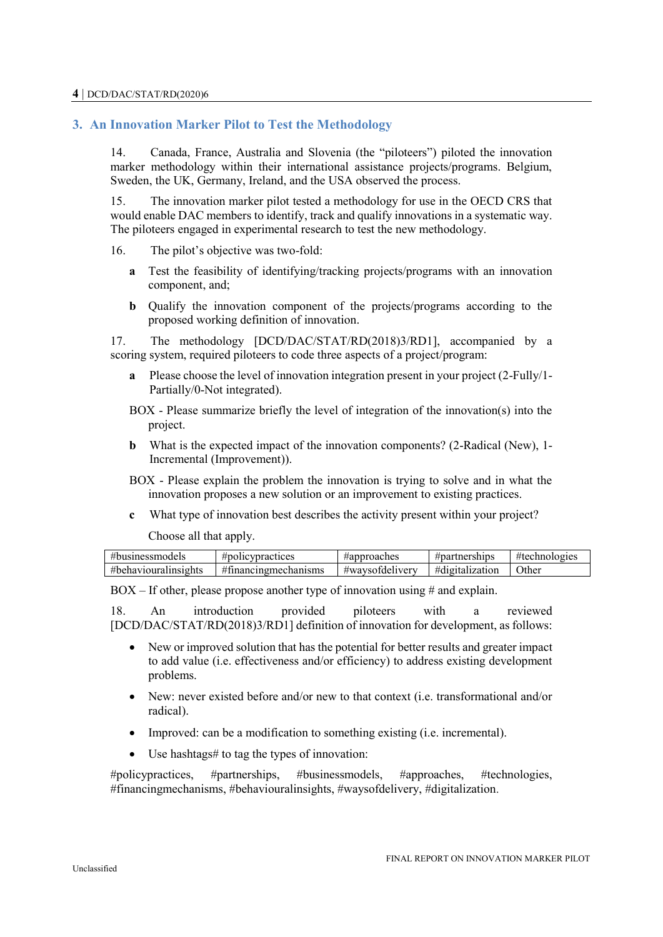# **3. An Innovation Marker Pilot to Test the Methodology**

14. Canada, France, Australia and Slovenia (the "piloteers") piloted the innovation marker methodology within their international assistance projects/programs. Belgium, Sweden, the UK, Germany, Ireland, and the USA observed the process.

15. The innovation marker pilot tested a methodology for use in the OECD CRS that would enable DAC members to identify, track and qualify innovations in a systematic way. The piloteers engaged in experimental research to test the new methodology.

16. The pilot's objective was two-fold:

- **a** Test the feasibility of identifying/tracking projects/programs with an innovation component, and;
- **b** Qualify the innovation component of the projects/programs according to the proposed working definition of innovation.

17. The methodology [DCD/DAC/STAT/RD(2018)3/RD1], accompanied by a scoring system, required piloteers to code three aspects of a project/program:

- **a** Please choose the level of innovation integration present in your project (2-Fully/1- Partially/0-Not integrated).
- BOX Please summarize briefly the level of integration of the innovation(s) into the project.
- **b** What is the expected impact of the innovation components? (2-Radical (New), 1-Incremental (Improvement)).
- BOX Please explain the problem the innovation is trying to solve and in what the innovation proposes a new solution or an improvement to existing practices.
- **c** What type of innovation best describes the activity present within your project?

Choose all that apply.

| 11<br>nodels                      | icvnractices<br>#polic                                 | pproaches<br>#Я I   | ≉nartners∟<br>ships | #te⊾<br>$\sim$ $\sim$ $\sim$ $\sim$<br>102165 |
|-----------------------------------|--------------------------------------------------------|---------------------|---------------------|-----------------------------------------------|
| ,,,<br>unsights<br>#behav.<br>тон | $\overline{11}$ $\overline{C}$<br>anısms<br>na<br>THET | delivery<br>#waysof | #digitalization     | <b>Other</b>                                  |

 $BOX - If other, please propose another type of innovation using # and explain.$ 

18. An introduction provided piloteers with a reviewed [DCD/DAC/STAT/RD(2018)3/RD1] definition of innovation for development, as follows:

- New or improved solution that has the potential for better results and greater impact to add value (i.e. effectiveness and/or efficiency) to address existing development problems.
- New: never existed before and/or new to that context (i.e. transformational and/or radical).
- Improved: can be a modification to something existing (i.e. incremental).
- Use hashtags# to tag the types of innovation:

#policypractices, #partnerships, #businessmodels, #approaches, #technologies, #financingmechanisms, #behaviouralinsights, #waysofdelivery, #digitalization.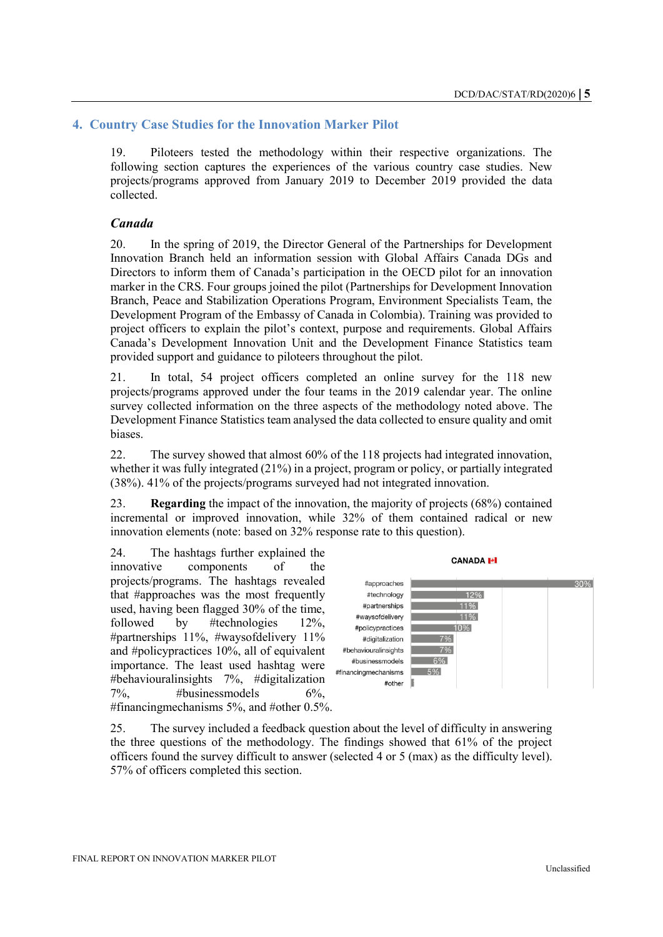## **4. Country Case Studies for the Innovation Marker Pilot**

19. Piloteers tested the methodology within their respective organizations. The following section captures the experiences of the various country case studies. New projects/programs approved from January 2019 to December 2019 provided the data collected.

### *Canada*

20. In the spring of 2019, the Director General of the Partnerships for Development Innovation Branch held an information session with Global Affairs Canada DGs and Directors to inform them of Canada's participation in the OECD pilot for an innovation marker in the CRS. Four groups joined the pilot (Partnerships for Development Innovation Branch, Peace and Stabilization Operations Program, Environment Specialists Team, the Development Program of the Embassy of Canada in Colombia). Training was provided to project officers to explain the pilot's context, purpose and requirements. Global Affairs Canada's Development Innovation Unit and the Development Finance Statistics team provided support and guidance to piloteers throughout the pilot.

21. In total, 54 project officers completed an online survey for the 118 new projects/programs approved under the four teams in the 2019 calendar year. The online survey collected information on the three aspects of the methodology noted above. The Development Finance Statistics team analysed the data collected to ensure quality and omit biases.

22. The survey showed that almost 60% of the 118 projects had integrated innovation, whether it was fully integrated (21%) in a project, program or policy, or partially integrated (38%). 41% of the projects/programs surveyed had not integrated innovation.

23. **Regarding** the impact of the innovation, the majority of projects (68%) contained incremental or improved innovation, while 32% of them contained radical or new innovation elements (note: based on 32% response rate to this question).

24. The hashtags further explained the innovative components of the projects/programs. The hashtags revealed that #approaches was the most frequently used, having been flagged 30% of the time, followed by #technologies 12%, #partnerships 11%, #waysofdelivery 11% and #policypractices 10%, all of equivalent importance. The least used hashtag were #behaviouralinsights 7%, #digitalization  $7\%$ ,  $\# \text{businessmodels}$  6\%. #financingmechanisms 5%, and #other 0.5%.



25. The survey included a feedback question about the level of difficulty in answering the three questions of the methodology. The findings showed that 61% of the project officers found the survey difficult to answer (selected 4 or 5 (max) as the difficulty level). 57% of officers completed this section.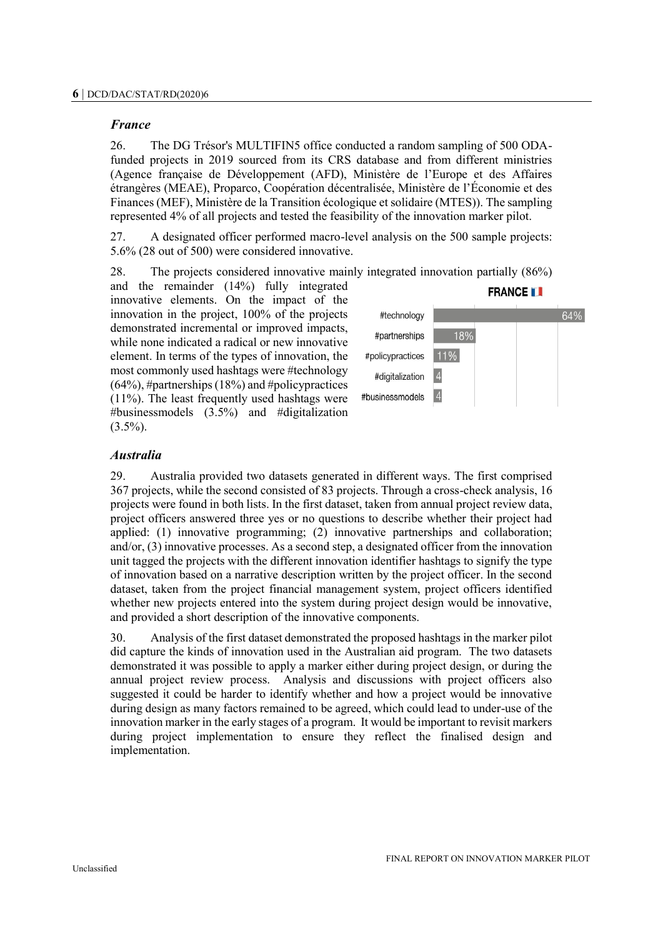### *France*

26. The DG Trésor's MULTIFIN5 office conducted a random sampling of 500 ODAfunded projects in 2019 sourced from its CRS database and from different ministries (Agence française de Développement (AFD), Ministère de l'Europe et des Affaires étrangères (MEAE), Proparco, Coopération décentralisée, Ministère de l'Économie et des Finances (MEF), Ministère de la Transition écologique et solidaire (MTES)). The sampling represented 4% of all projects and tested the feasibility of the innovation marker pilot.

27. A designated officer performed macro-level analysis on the 500 sample projects: 5.6% (28 out of 500) were considered innovative.

28. The projects considered innovative mainly integrated innovation partially (86%)

and the remainder (14%) fully integrated innovative elements. On the impact of the innovation in the project, 100% of the projects demonstrated incremental or improved impacts, while none indicated a radical or new innovative element. In terms of the types of innovation, the most commonly used hashtags were #technology  $(64%)$ , #partnerships  $(18%)$  and #policypractices (11%). The least frequently used hashtags were #businessmodels (3.5%) and #digitalization  $(3.5\%)$ .



# *Australia*

29. Australia provided two datasets generated in different ways. The first comprised 367 projects, while the second consisted of 83 projects. Through a cross-check analysis, 16 projects were found in both lists. In the first dataset, taken from annual project review data, project officers answered three yes or no questions to describe whether their project had applied: (1) innovative programming; (2) innovative partnerships and collaboration; and/or, (3) innovative processes. As a second step, a designated officer from the innovation unit tagged the projects with the different innovation identifier hashtags to signify the type of innovation based on a narrative description written by the project officer. In the second dataset, taken from the project financial management system, project officers identified whether new projects entered into the system during project design would be innovative, and provided a short description of the innovative components.

30. Analysis of the first dataset demonstrated the proposed hashtags in the marker pilot did capture the kinds of innovation used in the Australian aid program. The two datasets demonstrated it was possible to apply a marker either during project design, or during the annual project review process. Analysis and discussions with project officers also suggested it could be harder to identify whether and how a project would be innovative during design as many factors remained to be agreed, which could lead to under-use of the innovation marker in the early stages of a program. It would be important to revisit markers during project implementation to ensure they reflect the finalised design and implementation.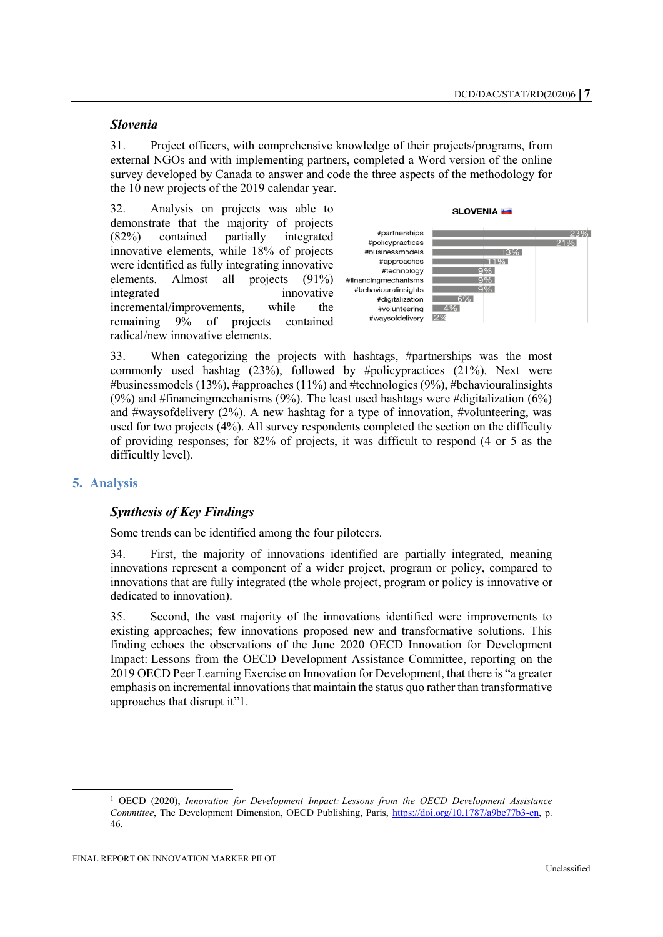#### *Slovenia*

31. Project officers, with comprehensive knowledge of their projects/programs, from external NGOs and with implementing partners, completed a Word version of the online survey developed by Canada to answer and code the three aspects of the methodology for the 10 new projects of the 2019 calendar year.

32. Analysis on projects was able to demonstrate that the majority of projects (82%) contained partially integrated innovative elements, while 18% of projects were identified as fully integrating innovative elements. Almost all projects (91%) integrated innovative incremental/improvements, while the remaining 9% of projects contained radical/new innovative elements.



33. When categorizing the projects with hashtags, #partnerships was the most commonly used hashtag (23%), followed by #policypractices (21%). Next were #businessmodels (13%), #approaches (11%) and #technologies (9%), #behaviouralinsights (9%) and #financingmechanisms (9%). The least used hashtags were #digitalization (6%) and #waysofdelivery  $(2\%)$ . A new hashtag for a type of innovation, #volunteering, was used for two projects (4%). All survey respondents completed the section on the difficulty of providing responses; for 82% of projects, it was difficult to respond (4 or 5 as the difficultly level).

#### **5. Analysis**

#### *Synthesis of Key Findings*

Some trends can be identified among the four piloteers.

34. First, the majority of innovations identified are partially integrated, meaning innovations represent a component of a wider project, program or policy, compared to innovations that are fully integrated (the whole project, program or policy is innovative or dedicated to innovation).

35. Second, the vast majority of the innovations identified were improvements to existing approaches; few innovations proposed new and transformative solutions. This finding echoes the observations of the June 2020 OECD Innovation for Development Impact: Lessons from the OECD Development Assistance Committee, reporting on the 2019 OECD Peer Learning Exercise on Innovation for Development, that there is "a greater emphasis on incremental innovations that maintain the status quo rather than transformative approaches that disrupt it"1.

<sup>1</sup> OECD (2020), *Innovation for Development Impact: Lessons from the OECD Development Assistance Committee*, The Development Dimension, OECD Publishing, Paris, [https://doi.org/10.1787/a9be77b3-en,](https://doi.org/10.1787/a9be77b3-en) p. 46.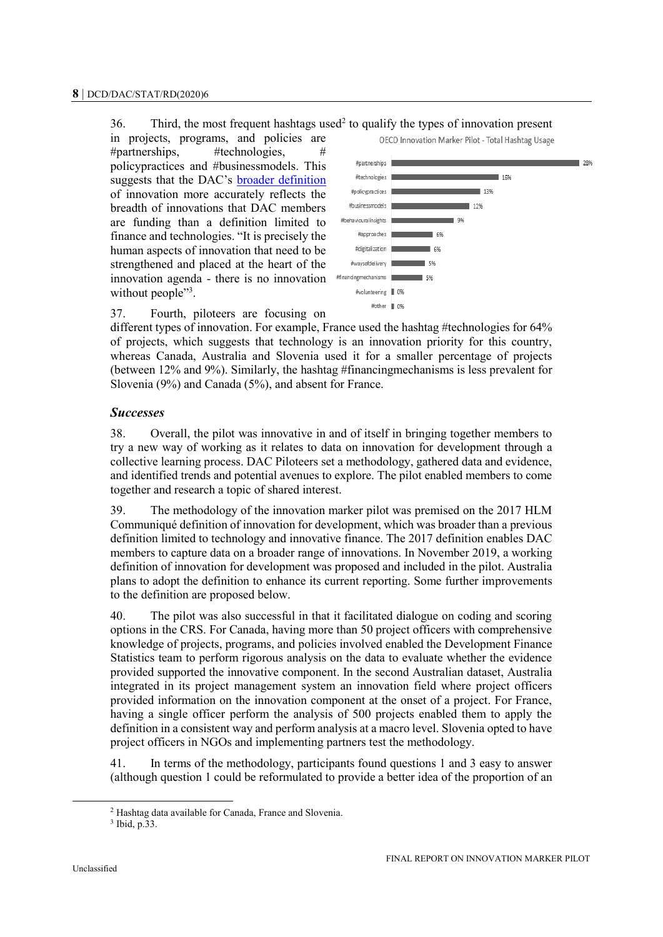$36.$  Third, the most frequent hashtags used<sup>2</sup> to qualify the types of innovation present

in projects, programs, and policies are #partnerships, #technologies, # policypractices and #businessmodels. This suggests that the DAC's [broader definition](http://www.oecd.org/dac/DAC-HLM-2017-Communique.pdf) of innovation more accurately reflects the breadth of innovations that DAC members are funding than a definition limited to finance and technologies. "It is precisely the human aspects of innovation that need to be strengthened and placed at the heart of the innovation agenda - there is no innovation without people"<sup>3</sup>.



37. Fourth, piloteers are focusing on

different types of innovation. For example, France used the hashtag #technologies for 64% of projects, which suggests that technology is an innovation priority for this country, whereas Canada, Australia and Slovenia used it for a smaller percentage of projects (between 12% and 9%). Similarly, the hashtag #financingmechanisms is less prevalent for Slovenia (9%) and Canada (5%), and absent for France.

## *Successes*

38. Overall, the pilot was innovative in and of itself in bringing together members to try a new way of working as it relates to data on innovation for development through a collective learning process. DAC Piloteers set a methodology, gathered data and evidence, and identified trends and potential avenues to explore. The pilot enabled members to come together and research a topic of shared interest.

39. The methodology of the innovation marker pilot was premised on the 2017 HLM Communiqué definition of innovation for development, which was broader than a previous definition limited to technology and innovative finance. The 2017 definition enables DAC members to capture data on a broader range of innovations. In November 2019, a working definition of innovation for development was proposed and included in the pilot. Australia plans to adopt the definition to enhance its current reporting. Some further improvements to the definition are proposed below.

40. The pilot was also successful in that it facilitated dialogue on coding and scoring options in the CRS. For Canada, having more than 50 project officers with comprehensive knowledge of projects, programs, and policies involved enabled the Development Finance Statistics team to perform rigorous analysis on the data to evaluate whether the evidence provided supported the innovative component. In the second Australian dataset, Australia integrated in its project management system an innovation field where project officers provided information on the innovation component at the onset of a project. For France, having a single officer perform the analysis of 500 projects enabled them to apply the definition in a consistent way and perform analysis at a macro level. Slovenia opted to have project officers in NGOs and implementing partners test the methodology.

41. In terms of the methodology, participants found questions 1 and 3 easy to answer (although question 1 could be reformulated to provide a better idea of the proportion of an

<sup>2</sup> Hashtag data available for Canada, France and Slovenia.

<sup>3</sup> Ibid, p.33.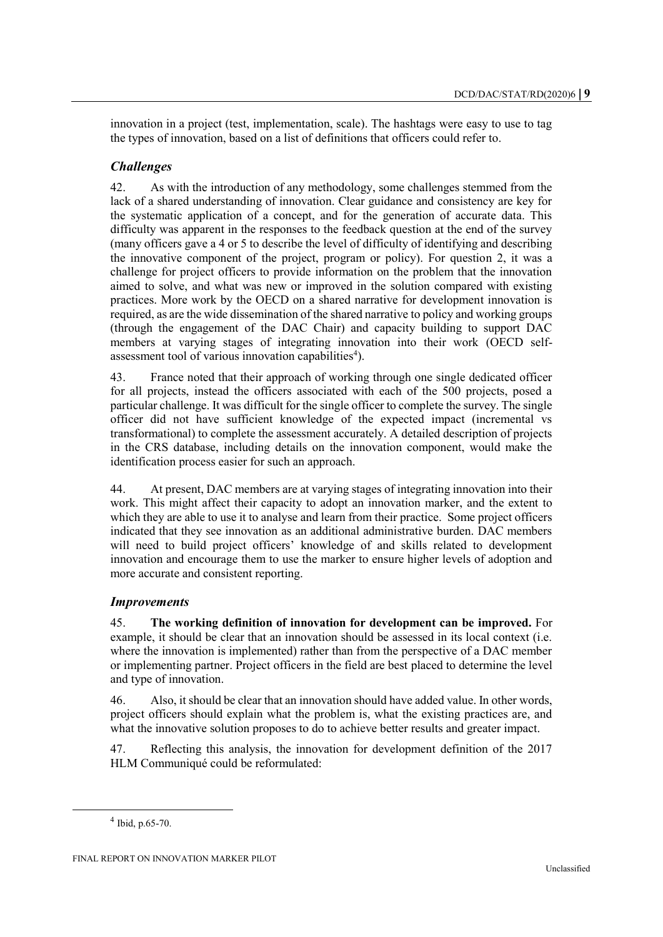innovation in a project (test, implementation, scale). The hashtags were easy to use to tag the types of innovation, based on a list of definitions that officers could refer to.

## *Challenges*

42. As with the introduction of any methodology, some challenges stemmed from the lack of a shared understanding of innovation. Clear guidance and consistency are key for the systematic application of a concept, and for the generation of accurate data. This difficulty was apparent in the responses to the feedback question at the end of the survey (many officers gave a 4 or 5 to describe the level of difficulty of identifying and describing the innovative component of the project, program or policy). For question 2, it was a challenge for project officers to provide information on the problem that the innovation aimed to solve, and what was new or improved in the solution compared with existing practices. More work by the OECD on a shared narrative for development innovation is required, as are the wide dissemination of the shared narrative to policy and working groups (through the engagement of the DAC Chair) and capacity building to support DAC members at varying stages of integrating innovation into their work (OECD selfassessment tool of various innovation capabilities<sup>4</sup>).

43. France noted that their approach of working through one single dedicated officer for all projects, instead the officers associated with each of the 500 projects, posed a particular challenge. It was difficult for the single officer to complete the survey. The single officer did not have sufficient knowledge of the expected impact (incremental vs transformational) to complete the assessment accurately. A detailed description of projects in the CRS database, including details on the innovation component, would make the identification process easier for such an approach.

44. At present, DAC members are at varying stages of integrating innovation into their work. This might affect their capacity to adopt an innovation marker, and the extent to which they are able to use it to analyse and learn from their practice. Some project officers indicated that they see innovation as an additional administrative burden. DAC members will need to build project officers' knowledge of and skills related to development innovation and encourage them to use the marker to ensure higher levels of adoption and more accurate and consistent reporting.

## *Improvements*

45. **The working definition of innovation for development can be improved.** For example, it should be clear that an innovation should be assessed in its local context (i.e. where the innovation is implemented) rather than from the perspective of a DAC member or implementing partner. Project officers in the field are best placed to determine the level and type of innovation.

46. Also, it should be clear that an innovation should have added value. In other words, project officers should explain what the problem is, what the existing practices are, and what the innovative solution proposes to do to achieve better results and greater impact.

47. Reflecting this analysis, the innovation for development definition of the 2017 HLM Communiqué could be reformulated:

 $\overline{a}$ 

 $4$  Ibid, p.65-70.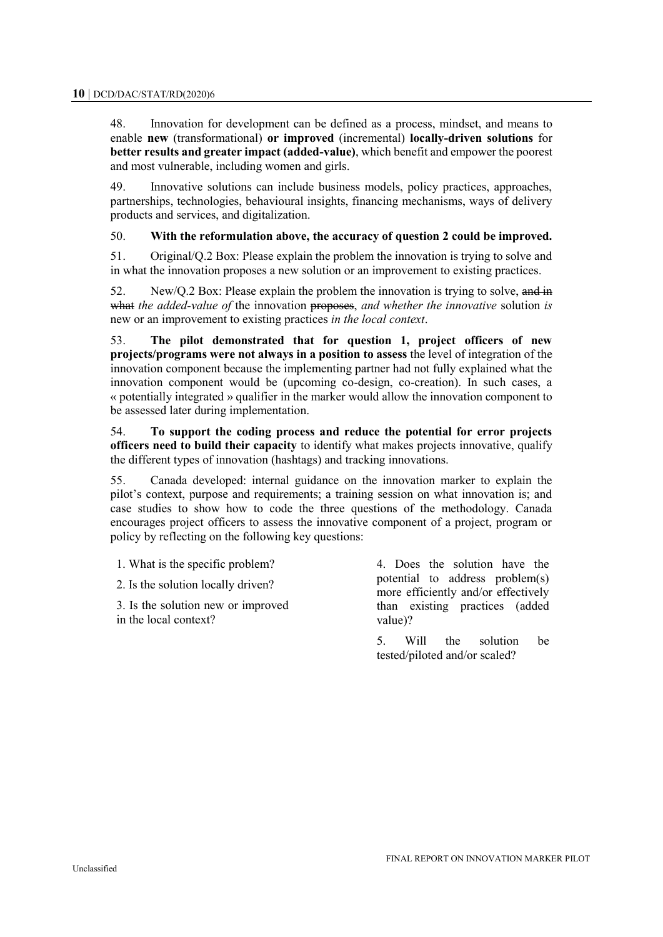48. Innovation for development can be defined as a process, mindset, and means to enable **new** (transformational) **or improved** (incremental) **locally-driven solutions** for **better results and greater impact (added-value)**, which benefit and empower the poorest and most vulnerable, including women and girls.

49. Innovative solutions can include business models, policy practices, approaches, partnerships, technologies, behavioural insights, financing mechanisms, ways of delivery products and services, and digitalization.

#### 50. **With the reformulation above, the accuracy of question 2 could be improved.**

51. Original/Q.2 Box: Please explain the problem the innovation is trying to solve and in what the innovation proposes a new solution or an improvement to existing practices.

52. New/Q.2 Box: Please explain the problem the innovation is trying to solve, and in what *the added-value of* the innovation proposes, *and whether the innovative* solution *is* new or an improvement to existing practices *in the local context*.

53. **The pilot demonstrated that for question 1, project officers of new projects/programs were not always in a position to assess** the level of integration of the innovation component because the implementing partner had not fully explained what the innovation component would be (upcoming co-design, co-creation). In such cases, a « potentially integrated » qualifier in the marker would allow the innovation component to be assessed later during implementation.

54. **To support the coding process and reduce the potential for error projects officers need to build their capacity** to identify what makes projects innovative, qualify the different types of innovation (hashtags) and tracking innovations.

55. Canada developed: internal guidance on the innovation marker to explain the pilot's context, purpose and requirements; a training session on what innovation is; and case studies to show how to code the three questions of the methodology. Canada encourages project officers to assess the innovative component of a project, program or policy by reflecting on the following key questions:

1. What is the specific problem?

2. Is the solution locally driven?

3. Is the solution new or improved in the local context?

4. Does the solution have the potential to address problem(s) more efficiently and/or effectively than existing practices (added value)?

5. Will the solution be tested/piloted and/or scaled?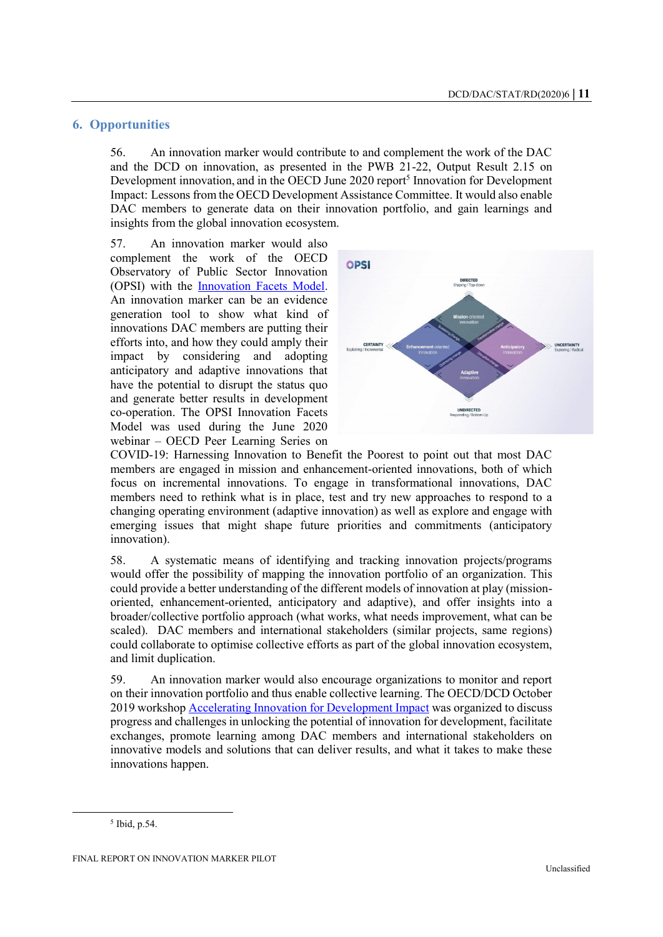### **6. Opportunities**

56. An innovation marker would contribute to and complement the work of the DAC and the DCD on innovation, as presented in the PWB 21-22, Output Result 2.15 on Development innovation, and in the OECD June 2020 report<sup>5</sup> Innovation for Development Impact: Lessons from the OECD Development Assistance Committee. It would also enable DAC members to generate data on their innovation portfolio, and gain learnings and insights from the global innovation ecosystem.

57. An innovation marker would also complement the work of the OECD Observatory of Public Sector Innovation (OPSI) with the [Innovation Facets Model.](https://oecd-opsi.org/projects/innovation-facets/) An innovation marker can be an evidence generation tool to show what kind of innovations DAC members are putting their efforts into, and how they could amply their impact by considering and adopting anticipatory and adaptive innovations that have the potential to disrupt the status quo and generate better results in development co-operation. The OPSI Innovation Facets Model was used during the June 2020 webinar – OECD Peer Learning Series on



COVID-19: Harnessing Innovation to Benefit the Poorest to point out that most DAC members are engaged in mission and enhancement-oriented innovations, both of which focus on incremental innovations. To engage in transformational innovations, DAC members need to rethink what is in place, test and try new approaches to respond to a changing operating environment (adaptive innovation) as well as explore and engage with emerging issues that might shape future priorities and commitments (anticipatory innovation).

58. A systematic means of identifying and tracking innovation projects/programs would offer the possibility of mapping the innovation portfolio of an organization. This could provide a better understanding of the different models of innovation at play (missionoriented, enhancement-oriented, anticipatory and adaptive), and offer insights into a broader/collective portfolio approach (what works, what needs improvement, what can be scaled). DAC members and international stakeholders (similar projects, same regions) could collaborate to optimise collective efforts as part of the global innovation ecosystem, and limit duplication.

59. An innovation marker would also encourage organizations to monitor and report on their innovation portfolio and thus enable collective learning. The OECD/DCD October 2019 worksho[p Accelerating Innovation for Development Impact](https://www.oecd.org/dac/innovation-for-development.htm) was organized to discuss progress and challenges in unlocking the potential of innovation for development, facilitate exchanges, promote learning among DAC members and international stakeholders on innovative models and solutions that can deliver results, and what it takes to make these innovations happen.

 $\overline{a}$ 

<sup>5</sup> Ibid, p.54.